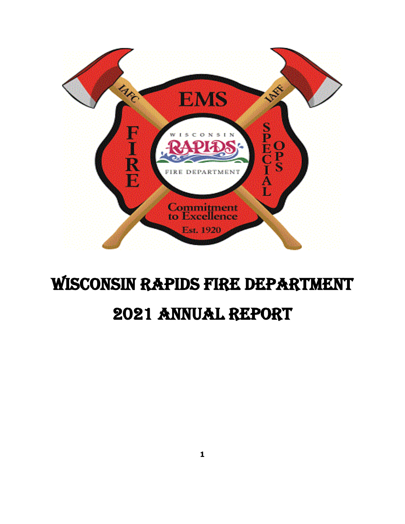

# Wisconsin Rapids Fire Department 2021 Annual Report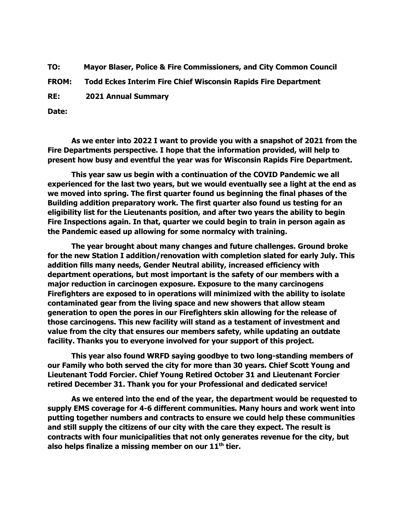**TO: Mayor Blaser, Police & Fire Commissioners, and City Common Council**

**FROM: Todd Eckes Interim Fire Chief Wisconsin Rapids Fire Department**

**RE: 2021 Annual Summary** 

**Date:**

**As we enter into 2022 I want to provide you with a snapshot of 2021 from the Fire Departments perspective. I hope that the information provided, will help to present how busy and eventful the year was for Wisconsin Rapids Fire Department.** 

**This year saw us begin with a continuation of the COVID Pandemic we all experienced for the last two years, but we would eventually see a light at the end as we moved into spring. The first quarter found us beginning the final phases of the Building addition preparatory work. The first quarter also found us testing for an eligibility list for the Lieutenants position, and after two years the ability to begin Fire Inspections again. In that, quarter we could begin to train in person again as the Pandemic eased up allowing for some normalcy with training.**

**The year brought about many changes and future challenges. Ground broke for the new Station I addition/renovation with completion slated for early July. This addition fills many needs, Gender Neutral ability, increased efficiency with department operations, but most important is the safety of our members with a major reduction in carcinogen exposure. Exposure to the many carcinogens Firefighters are exposed to in operations will minimized with the ability to isolate contaminated gear from the living space and new showers that allow steam generation to open the pores in our Firefighters skin allowing for the release of those carcinogens. This new facility will stand as a testament of investment and value from the city that ensures our members safety, while updating an outdate facility. Thanks you to everyone involved for your support of this project.** 

**This year also found WRFD saying goodbye to two long-standing members of our Family who both served the city for more than 30 years. Chief Scott Young and Lieutenant Todd Forcier. Chief Young Retired October 31 and Lieutenant Forcier retired December 31. Thank you for your Professional and dedicated service!**

**As we entered into the end of the year, the department would be requested to supply EMS coverage for 4-6 different communities. Many hours and work went into putting together numbers and contracts to ensure we could help these communities and still supply the citizens of our city with the care they expect. The result is contracts with four municipalities that not only generates revenue for the city, but also helps finalize a missing member on our 11th tier.**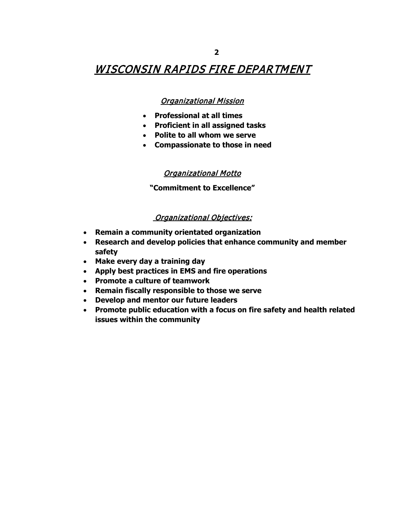## WISCONSIN RAPIDS FIRE DEPARTMENT

#### Organizational Mission

- **Professional at all times**
- **Proficient in all assigned tasks**
- **Polite to all whom we serve**
- **Compassionate to those in need**

#### Organizational Motto

**"Commitment to Excellence"**

#### **Organizational Objectives:**

- **Remain a community orientated organization**
- **Research and develop policies that enhance community and member safety**
- **Make every day a training day**
- **Apply best practices in EMS and fire operations**
- **Promote a culture of teamwork**
- **Remain fiscally responsible to those we serve**
- **Develop and mentor our future leaders**
- **Promote public education with a focus on fire safety and health related issues within the community**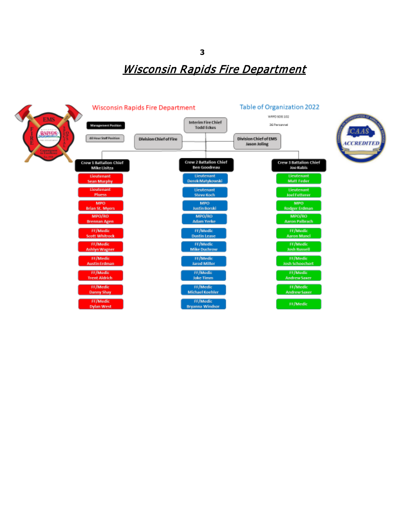

**3**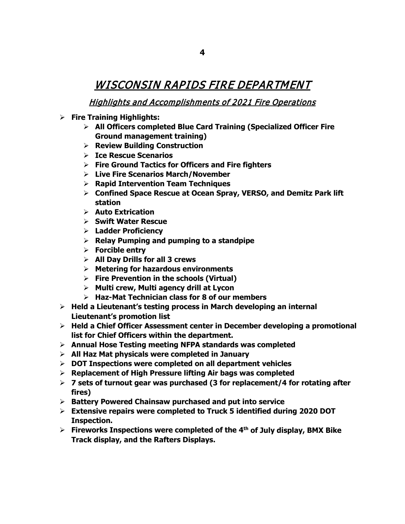## WISCONSIN RAPIDS FIRE DEPARTMENT

### Highlights and Accomplishments of 2021 Fire Operations

- **Fire Training Highlights:**
	- **All Officers completed Blue Card Training (Specialized Officer Fire Ground management training)**
	- **Review Building Construction**
	- **Ice Rescue Scenarios**
	- **Fire Ground Tactics for Officers and Fire fighters**
	- **Live Fire Scenarios March/November**
	- **Rapid Intervention Team Techniques**
	- **Confined Space Rescue at Ocean Spray, VERSO, and Demitz Park lift station**
	- **Auto Extrication**
	- **Swift Water Rescue**
	- **Ladder Proficiency**
	- **Relay Pumping and pumping to a standpipe**
	- **Forcible entry**
	- **All Day Drills for all 3 crews**
	- **Metering for hazardous environments**
	- **Fire Prevention in the schools (Virtual)**
	- **Multi crew, Multi agency drill at Lycon**
	- **Haz-Mat Technician class for 8 of our members**
- **Held a Lieutenant's testing process in March developing an internal Lieutenant's promotion list**
- **Held a Chief Officer Assessment center in December developing a promotional list for Chief Officers within the department.**
- **Annual Hose Testing meeting NFPA standards was completed**
- **All Haz Mat physicals were completed in January**
- **DOT Inspections were completed on all department vehicles**
- **Replacement of High Pressure lifting Air bags was completed**
- **7 sets of turnout gear was purchased (3 for replacement/4 for rotating after fires)**
- **Battery Powered Chainsaw purchased and put into service**
- **Extensive repairs were completed to Truck 5 identified during 2020 DOT Inspection.**
- **Fireworks Inspections were completed of the 4th of July display, BMX Bike Track display, and the Rafters Displays.**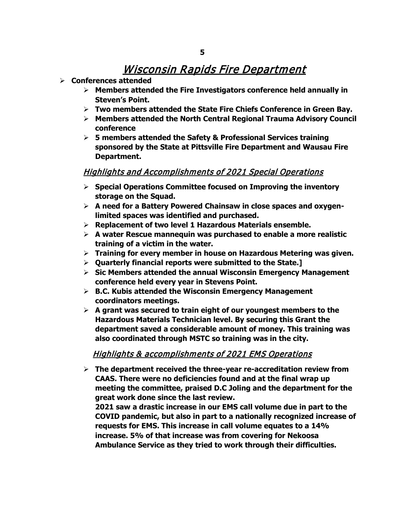- **Conferences attended**
	- **Members attended the Fire Investigators conference held annually in Steven's Point.**
	- **Two members attended the State Fire Chiefs Conference in Green Bay.**
	- **Members attended the North Central Regional Trauma Advisory Council conference**
	- **5 members attended the Safety & Professional Services training sponsored by the State at Pittsville Fire Department and Wausau Fire Department.**

#### Highlights and Accomplishments of 2021 Special Operations

- **Special Operations Committee focused on Improving the inventory storage on the Squad.**
- **A need for a Battery Powered Chainsaw in close spaces and oxygenlimited spaces was identified and purchased.**
- **Replacement of two level 1 Hazardous Materials ensemble.**
- **A water Rescue mannequin was purchased to enable a more realistic training of a victim in the water.**
- **Training for every member in house on Hazardous Metering was given.**
- **Quarterly financial reports were submitted to the State.]**
- **Sic Members attended the annual Wisconsin Emergency Management conference held every year in Stevens Point.**
- **B.C. Kubis attended the Wisconsin Emergency Management coordinators meetings.**
- **A grant was secured to train eight of our youngest members to the Hazardous Materials Technician level. By securing this Grant the department saved a considerable amount of money. This training was also coordinated through MSTC so training was in the city.**

#### Highlights & accomplishments of 2021 EMS Operations

 **The department received the three-year re-accreditation review from CAAS. There were no deficiencies found and at the final wrap up meeting the committee, praised D.C Joling and the department for the great work done since the last review.** 

**2021 saw a drastic increase in our EMS call volume due in part to the COVID pandemic, but also in part to a nationally recognized increase of requests for EMS. This increase in call volume equates to a 14% increase. 5% of that increase was from covering for Nekoosa Ambulance Service as they tried to work through their difficulties.**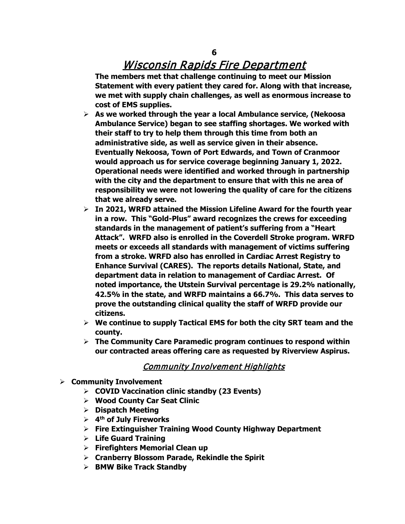**The members met that challenge continuing to meet our Mission Statement with every patient they cared for. Along with that increase, we met with supply chain challenges, as well as enormous increase to cost of EMS supplies.**

- **As we worked through the year a local Ambulance service, (Nekoosa Ambulance Service) began to see staffing shortages. We worked with their staff to try to help them through this time from both an administrative side, as well as service given in their absence. Eventually Nekoosa, Town of Port Edwards, and Town of Cranmoor would approach us for service coverage beginning January 1, 2022. Operational needs were identified and worked through in partnership with the city and the department to ensure that with this ne area of responsibility we were not lowering the quality of care for the citizens that we already serve.**
- **In 2021, WRFD attained the Mission Lifeline Award for the fourth year in a row. This "Gold-Plus" award recognizes the crews for exceeding standards in the management of patient's suffering from a "Heart Attack". WRFD also is enrolled in the Coverdell Stroke program. WRFD meets or exceeds all standards with management of victims suffering from a stroke. WRFD also has enrolled in Cardiac Arrest Registry to Enhance Survival (CARES). The reports details National, State, and department data in relation to management of Cardiac Arrest. Of noted importance, the Utstein Survival percentage is 29.2% nationally, 42.5% in the state, and WRFD maintains a 66.7%. This data serves to prove the outstanding clinical quality the staff of WRFD provide our citizens.**
- **We continue to supply Tactical EMS for both the city SRT team and the county.**
- **The Community Care Paramedic program continues to respond within our contracted areas offering care as requested by Riverview Aspirus.**

#### Community Involvement Highlights

- **Community Involvement**
	- **COVID Vaccination clinic standby (23 Events)**
	- **Wood County Car Seat Clinic**
	- **Dispatch Meeting**
	- **4th of July Fireworks**
	- **Fire Extinguisher Training Wood County Highway Department**
	- **Life Guard Training**
	- **Firefighters Memorial Clean up**
	- **Cranberry Blossom Parade, Rekindle the Spirit**
	- **BMW Bike Track Standby**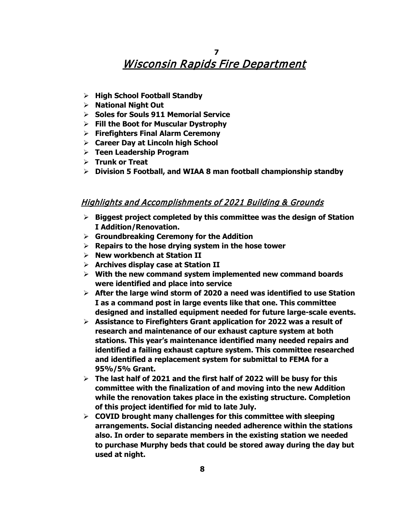- **High School Football Standby**
- **National Night Out**
- **Soles for Souls 911 Memorial Service**
- **Fill the Boot for Muscular Dystrophy**
- **Firefighters Final Alarm Ceremony**
- **Career Day at Lincoln high School**
- **Teen Leadership Program**
- **Trunk or Treat**
- **Division 5 Football, and WIAA 8 man football championship standby**

#### Highlights and Accomplishments of 2021 Building & Grounds

- **Biggest project completed by this committee was the design of Station I Addition/Renovation.**
- **Groundbreaking Ceremony for the Addition**
- **Repairs to the hose drying system in the hose tower**
- **New workbench at Station II**
- **Archives display case at Station II**
- **With the new command system implemented new command boards were identified and place into service**
- **After the large wind storm of 2020 a need was identified to use Station I as a command post in large events like that one. This committee designed and installed equipment needed for future large-scale events.**
- **Assistance to Firefighters Grant application for 2022 was a result of research and maintenance of our exhaust capture system at both stations. This year's maintenance identified many needed repairs and identified a failing exhaust capture system. This committee researched and identified a replacement system for submittal to FEMA for a 95%/5% Grant.**
- **The last half of 2021 and the first half of 2022 will be busy for this committee with the finalization of and moving into the new Addition while the renovation takes place in the existing structure. Completion of this project identified for mid to late July.**
- **COVID brought many challenges for this committee with sleeping arrangements. Social distancing needed adherence within the stations also. In order to separate members in the existing station we needed to purchase Murphy beds that could be stored away during the day but used at night.**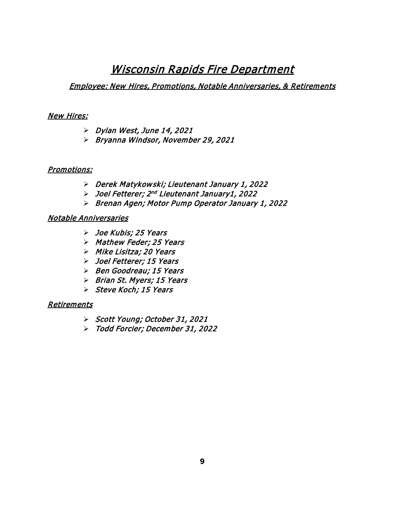#### Employee: New Hires, Promotions, Notable Anniversaries, & Retirements

#### New Hires:

- $\triangleright$  Dylan West, June 14, 2021
- Bryanna Windsor, November 29, 2021

#### Promotions:

- Derek Matykowski; Lieutenant January 1, 2022
- Joel Fetterer; 2nd Lieutenant January1, 2022
- Brenan Agen; Motor Pump Operator January 1, 2022

#### Notable Anniversaries

- Joe Kubis; 25 Years
- > Mathew Feder; 25 Years
- > Mike Lisitza; 20 Years
- Joel Fetterer; 15 Years
- $\triangleright$  Ben Goodreau; 15 Years
- $\triangleright$  Brian St. Myers; 15 Years
- Steve Koch; 15 Years

#### **Retirements**

- Scott Young; October 31, 2021
- Todd Forcier; December 31, 2022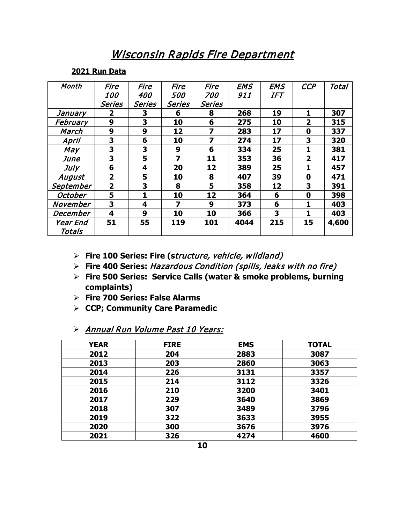#### **2021 Run Data**

| Month     | Fire              | Fire         | Fire   | Fire       | <b>EMS</b> | <b>EMS</b> | <b>CCP</b>     | Total |
|-----------|-------------------|--------------|--------|------------|------------|------------|----------------|-------|
|           | <i><b>100</b></i> | 400          | 500    | <i>700</i> | 911        | <b>IFT</b> |                |       |
|           | <b>Series</b>     | Series       | Series | Series     |            |            |                |       |
| January   | 2                 | 3            | 6      | 8          | 268        | 19         | 1              | 307   |
| February  | 9                 | 3            | 10     | 6          | 275        | 10         | $\overline{2}$ | 315   |
| March     | 9                 | 9            | 12     | 7          | 283        | 17         | 0              | 337   |
| April     | 3                 | 6            | 10     | 7          | 274        | 17         | 3              | 320   |
| May       | 3                 | 3            | 9      | 6          | 334        | 25         | 1              | 381   |
| June      | 3                 | 5            | 7      | 11         | 353        | 36         | $\overline{2}$ | 417   |
| July      | 6                 | 4            | 20     | 12         | 389        | 25         | 1              | 457   |
| August    | $\overline{2}$    | 5            | 10     | 8          | 407        | 39         | 0              | 471   |
| September | $\overline{2}$    | 3            | 8      | 5          | 358        | 12         | 3              | 391   |
| October   | 5                 | $\mathbf{1}$ | 10     | 12         | 364        | 6          | 0              | 398   |
| November  | 3                 | 4            | 7      | 9          | 373        | 6          | 1              | 403   |
| December  | 4                 | 9            | 10     | 10         | 366        | 3          | 1              | 403   |
| Year End  | 51                | 55           | 119    | 101        | 4044       | 215        | 15             | 4,600 |
| Totals    |                   |              |        |            |            |            |                |       |

- **Fire 100 Series: Fire (s**tructure, vehicle, wildland)
- **Fire 400 Series:** Hazardous Condition (spills, leaks with no fire)
- **Fire 500 Series: Service Calls (water & smoke problems, burning complaints)**
- **Fire 700 Series: False Alarms**
- **CCP; Community Care Paramedic**

#### > Annual Run Volume Past 10 Years:

| <b>YEAR</b> | <b>FIRE</b> | <b>EMS</b> | <b>TOTAL</b> |
|-------------|-------------|------------|--------------|
| 2012        | 204         | 2883       | 3087         |
| 2013        | 203         | 2860       | 3063         |
| 2014        | 226         | 3131       | 3357         |
| 2015        | 214         | 3112       | 3326         |
| 2016        | 210         | 3200       | 3401         |
| 2017        | 229         | 3640       | 3869         |
| 2018        | 307         | 3489       | 3796         |
| 2019        | 322         | 3633       | 3955         |
| 2020        | 300         | 3676       | 3976         |
| 2021        | 326         | 4274       | 4600         |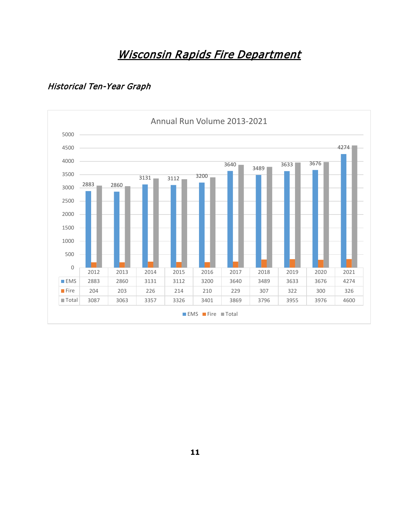## Historical Ten-Year Graph

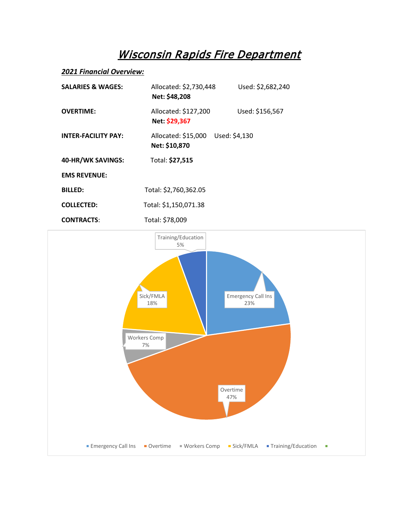#### *2021 Financial Overview:*

| <b>SALARIES &amp; WAGES:</b> | Allocated: \$2,730,448<br>Net: \$48,208               | Used: \$2,682,240 |  |
|------------------------------|-------------------------------------------------------|-------------------|--|
| <b>OVERTIME:</b>             | Allocated: \$127,200<br>Net: \$29,367                 | Used: \$156,567   |  |
| <b>INTER-FACILITY PAY:</b>   | Allocated: \$15,000<br>Used: \$4,130<br>Net: \$10,870 |                   |  |
| 40-HR/WK SAVINGS:            | Total: \$27,515                                       |                   |  |
| <b>EMS REVENUE:</b>          |                                                       |                   |  |
| <b>BILLED:</b>               | Total: \$2,760,362.05                                 |                   |  |
| <b>COLLECTED:</b>            | Total: \$1,150,071.38                                 |                   |  |
|                              |                                                       |                   |  |

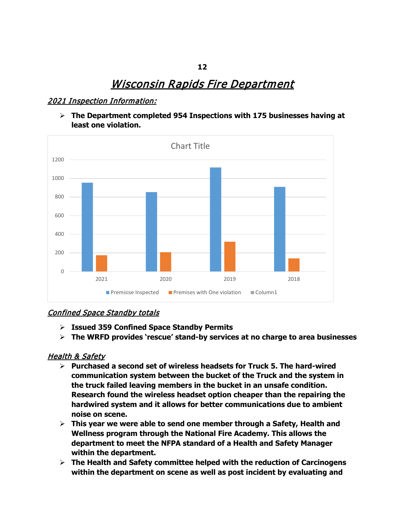#### 2021 Inspection Information:

 **The Department completed 954 Inspections with 175 businesses having at least one violation.**



#### Confined Space Standby totals

- **Issued 359 Confined Space Standby Permits**
- **The WRFD provides 'rescue' stand-by services at no charge to area businesses**

#### Health & Safety

- **Purchased a second set of wireless headsets for Truck 5. The hard-wired communication system between the bucket of the Truck and the system in the truck failed leaving members in the bucket in an unsafe condition. Research found the wireless headset option cheaper than the repairing the hardwired system and it allows for better communications due to ambient noise on scene.**
- **This year we were able to send one member through a Safety, Health and Wellness program through the National Fire Academy. This allows the department to meet the NFPA standard of a Health and Safety Manager within the department.**
- **The Health and Safety committee helped with the reduction of Carcinogens within the department on scene as well as post incident by evaluating and**